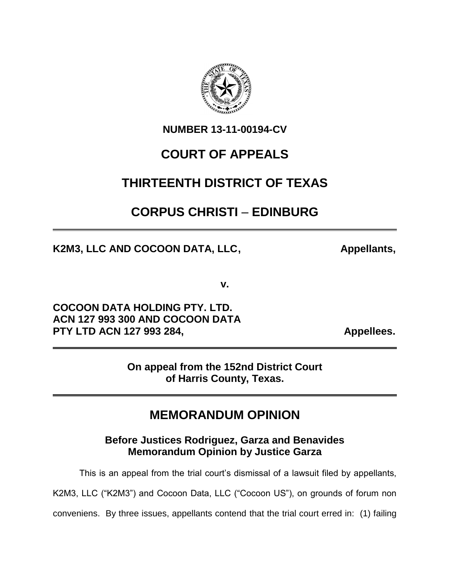

**NUMBER 13-11-00194-CV**

# **COURT OF APPEALS**

## **THIRTEENTH DISTRICT OF TEXAS**

# **CORPUS CHRISTI** – **EDINBURG**

K2M3, LLC AND COCOON DATA, LLC, Appellants,

**v.**

**COCOON DATA HOLDING PTY. LTD. ACN 127 993 300 AND COCOON DATA** PTY LTD ACN 127 993 284, **Appellees.** 

**On appeal from the 152nd District Court of Harris County, Texas.**

## **MEMORANDUM OPINION**

**Before Justices Rodriguez, Garza and Benavides Memorandum Opinion by Justice Garza**

This is an appeal from the trial court's dismissal of a lawsuit filed by appellants,

K2M3, LLC ("K2M3") and Cocoon Data, LLC ("Cocoon US"), on grounds of forum non

conveniens. By three issues, appellants contend that the trial court erred in: (1) failing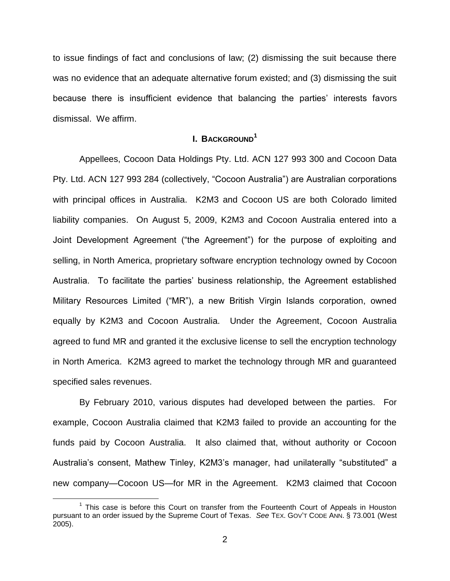to issue findings of fact and conclusions of law; (2) dismissing the suit because there was no evidence that an adequate alternative forum existed; and (3) dismissing the suit because there is insufficient evidence that balancing the parties' interests favors dismissal. We affirm.

### **I. BACKGROUND<sup>1</sup>**

Appellees, Cocoon Data Holdings Pty. Ltd. ACN 127 993 300 and Cocoon Data Pty. Ltd. ACN 127 993 284 (collectively, "Cocoon Australia") are Australian corporations with principal offices in Australia. K2M3 and Cocoon US are both Colorado limited liability companies. On August 5, 2009, K2M3 and Cocoon Australia entered into a Joint Development Agreement ("the Agreement") for the purpose of exploiting and selling, in North America, proprietary software encryption technology owned by Cocoon Australia. To facilitate the parties' business relationship, the Agreement established Military Resources Limited ("MR"), a new British Virgin Islands corporation, owned equally by K2M3 and Cocoon Australia. Under the Agreement, Cocoon Australia agreed to fund MR and granted it the exclusive license to sell the encryption technology in North America. K2M3 agreed to market the technology through MR and guaranteed specified sales revenues.

By February 2010, various disputes had developed between the parties. For example, Cocoon Australia claimed that K2M3 failed to provide an accounting for the funds paid by Cocoon Australia. It also claimed that, without authority or Cocoon Australia's consent, Mathew Tinley, K2M3's manager, had unilaterally "substituted" a new company—Cocoon US—for MR in the Agreement. K2M3 claimed that Cocoon

<sup>&</sup>lt;sup>1</sup> This case is before this Court on transfer from the Fourteenth Court of Appeals in Houston pursuant to an order issued by the Supreme Court of Texas. *See* TEX. GOV'T CODE ANN. § 73.001 (West 2005).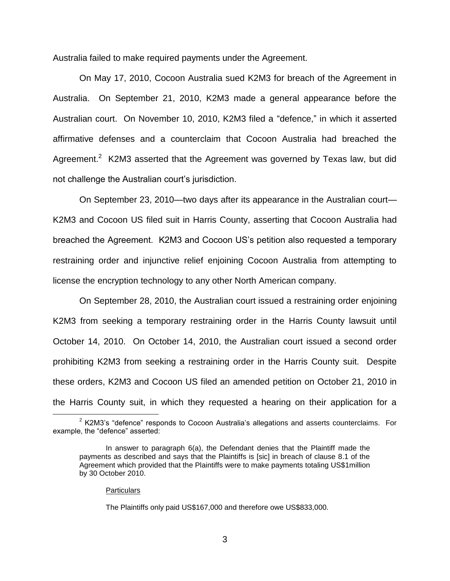Australia failed to make required payments under the Agreement.

On May 17, 2010, Cocoon Australia sued K2M3 for breach of the Agreement in Australia. On September 21, 2010, K2M3 made a general appearance before the Australian court. On November 10, 2010, K2M3 filed a "defence," in which it asserted affirmative defenses and a counterclaim that Cocoon Australia had breached the Agreement.<sup>2</sup> K2M3 asserted that the Agreement was governed by Texas law, but did not challenge the Australian court's jurisdiction.

On September 23, 2010—two days after its appearance in the Australian court— K2M3 and Cocoon US filed suit in Harris County, asserting that Cocoon Australia had breached the Agreement. K2M3 and Cocoon US's petition also requested a temporary restraining order and injunctive relief enjoining Cocoon Australia from attempting to license the encryption technology to any other North American company.

On September 28, 2010, the Australian court issued a restraining order enjoining K2M3 from seeking a temporary restraining order in the Harris County lawsuit until October 14, 2010. On October 14, 2010, the Australian court issued a second order prohibiting K2M3 from seeking a restraining order in the Harris County suit. Despite these orders, K2M3 and Cocoon US filed an amended petition on October 21, 2010 in the Harris County suit, in which they requested a hearing on their application for a

#### **Particulars**

 $\overline{a}$ 

The Plaintiffs only paid US\$167,000 and therefore owe US\$833,000.

 $2$  K2M3's "defence" responds to Cocoon Australia's allegations and asserts counterclaims. For example, the "defence" asserted:

In answer to paragraph 6(a), the Defendant denies that the Plaintiff made the payments as described and says that the Plaintiffs is [sic] in breach of clause 8.1 of the Agreement which provided that the Plaintiffs were to make payments totaling US\$1million by 30 October 2010.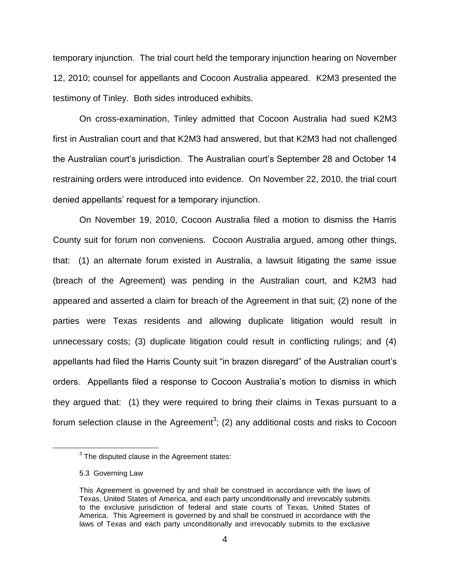temporary injunction. The trial court held the temporary injunction hearing on November 12, 2010; counsel for appellants and Cocoon Australia appeared. K2M3 presented the testimony of Tinley. Both sides introduced exhibits.

On cross-examination, Tinley admitted that Cocoon Australia had sued K2M3 first in Australian court and that K2M3 had answered, but that K2M3 had not challenged the Australian court's jurisdiction. The Australian court's September 28 and October 14 restraining orders were introduced into evidence. On November 22, 2010, the trial court denied appellants' request for a temporary injunction.

On November 19, 2010, Cocoon Australia filed a motion to dismiss the Harris County suit for forum non conveniens. Cocoon Australia argued, among other things, that: (1) an alternate forum existed in Australia, a lawsuit litigating the same issue (breach of the Agreement) was pending in the Australian court, and K2M3 had appeared and asserted a claim for breach of the Agreement in that suit; (2) none of the parties were Texas residents and allowing duplicate litigation would result in unnecessary costs; (3) duplicate litigation could result in conflicting rulings; and (4) appellants had filed the Harris County suit "in brazen disregard" of the Australian court's orders. Appellants filed a response to Cocoon Australia's motion to dismiss in which they argued that: (1) they were required to bring their claims in Texas pursuant to a forum selection clause in the Agreement<sup>3</sup>; (2) any additional costs and risks to Cocoon

 $3$  The disputed clause in the Agreement states:

<sup>5.3</sup> Governing Law

This Agreement is governed by and shall be construed in accordance with the laws of Texas, United States of America, and each party unconditionally and irrevocably submits to the exclusive jurisdiction of federal and state courts of Texas, United States of America. This Agreement is governed by and shall be construed in accordance with the laws of Texas and each party unconditionally and irrevocably submits to the exclusive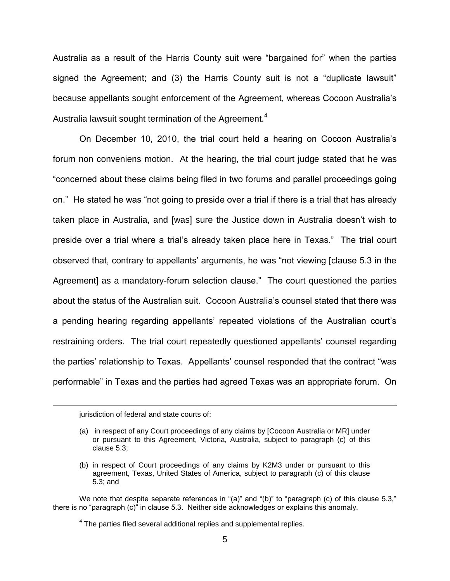Australia as a result of the Harris County suit were "bargained for" when the parties signed the Agreement; and (3) the Harris County suit is not a "duplicate lawsuit" because appellants sought enforcement of the Agreement, whereas Cocoon Australia's Australia lawsuit sought termination of the Agreement.<sup>4</sup>

On December 10, 2010, the trial court held a hearing on Cocoon Australia's forum non conveniens motion. At the hearing, the trial court judge stated that he was "concerned about these claims being filed in two forums and parallel proceedings going on." He stated he was "not going to preside over a trial if there is a trial that has already taken place in Australia, and [was] sure the Justice down in Australia doesn't wish to preside over a trial where a trial's already taken place here in Texas." The trial court observed that, contrary to appellants' arguments, he was "not viewing [clause 5.3 in the Agreement] as a mandatory-forum selection clause." The court questioned the parties about the status of the Australian suit. Cocoon Australia's counsel stated that there was a pending hearing regarding appellants' repeated violations of the Australian court's restraining orders. The trial court repeatedly questioned appellants' counsel regarding the parties' relationship to Texas. Appellants' counsel responded that the contract "was performable" in Texas and the parties had agreed Texas was an appropriate forum. On

jurisdiction of federal and state courts of:

<sup>(</sup>a) in respect of any Court proceedings of any claims by [Cocoon Australia or MR] under or pursuant to this Agreement, Victoria, Australia, subject to paragraph (c) of this clause 5.3;

<sup>(</sup>b) in respect of Court proceedings of any claims by K2M3 under or pursuant to this agreement, Texas, United States of America, subject to paragraph (c) of this clause 5.3; and

We note that despite separate references in "(a)" and "(b)" to "paragraph (c) of this clause 5.3," there is no "paragraph (c)" in clause 5.3. Neither side acknowledges or explains this anomaly.

 $4$  The parties filed several additional replies and supplemental replies.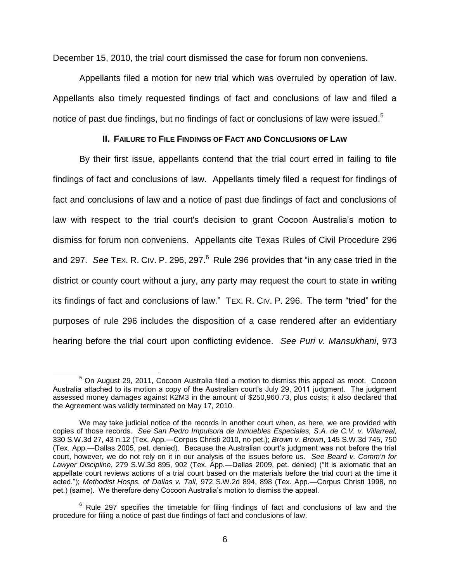December 15, 2010, the trial court dismissed the case for forum non conveniens.

Appellants filed a motion for new trial which was overruled by operation of law. Appellants also timely requested findings of fact and conclusions of law and filed a notice of past due findings, but no findings of fact or conclusions of law were issued.<sup>5</sup>

### **II. FAILURE TO FILE FINDINGS OF FACT AND CONCLUSIONS OF LAW**

By their first issue, appellants contend that the trial court erred in failing to file findings of fact and conclusions of law. Appellants timely filed a request for findings of fact and conclusions of law and a notice of past due findings of fact and conclusions of law with respect to the trial court's decision to grant Cocoon Australia's motion to dismiss for forum non conveniens. Appellants cite Texas Rules of Civil Procedure 296 and 297. See TEX. R. CIV. P. 296, 297.<sup>6</sup> Rule 296 provides that "in any case tried in the district or county court without a jury, any party may request the court to state in writing its findings of fact and conclusions of law." TEX. R. CIV. P. 296. The term "tried" for the purposes of rule 296 includes the disposition of a case rendered after an evidentiary hearing before the trial court upon conflicting evidence. *See Puri v. Mansukhani*, 973

 $\overline{a}$  $5$  On August 29, 2011, Cocoon Australia filed a motion to dismiss this appeal as moot. Cocoon Australia attached to its motion a copy of the Australian court's July 29, 2011 judgment. The judgment assessed money damages against K2M3 in the amount of \$250,960.73, plus costs; it also declared that the Agreement was validly terminated on May 17, 2010.

We may take judicial notice of the records in another court when, as here, we are provided with copies of those records. *See San Pedro Impulsora de Inmuebles Especiales, S.A. de C.V. v. Villarreal,*  330 S.W.3d 27, 43 n.12 (Tex. App.—Corpus Christi 2010, no pet.); *Brown v. Brown*, 145 S.W.3d 745, 750 (Tex. App.—Dallas 2005, pet. denied). Because the Australian court's judgment was not before the trial court, however, we do not rely on it in our analysis of the issues before us. *See Beard v. Comm'n for Lawyer Discipline*, 279 S.W.3d 895, 902 (Tex. App.—Dallas 2009, pet. denied) ("It is axiomatic that an appellate court reviews actions of a trial court based on the materials before the trial court at the time it acted."); *Methodist Hosps. of Dallas v. Tall*, 972 S.W.2d 894, 898 (Tex. App.—Corpus Christi 1998, no pet.) (same). We therefore deny Cocoon Australia's motion to dismiss the appeal.

 $6$  Rule 297 specifies the timetable for filing findings of fact and conclusions of law and the procedure for filing a notice of past due findings of fact and conclusions of law.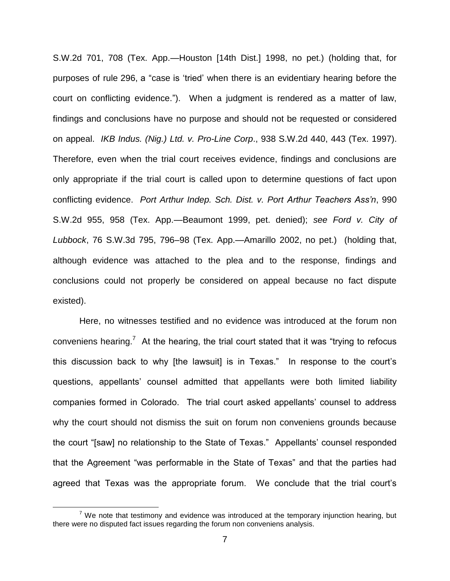S.W.2d 701, 708 (Tex. App.—Houston [14th Dist.] 1998, no pet.) (holding that, for purposes of rule 296, a "case is 'tried' when there is an evidentiary hearing before the court on conflicting evidence."). When a judgment is rendered as a matter of law, findings and conclusions have no purpose and should not be requested or considered on appeal. *IKB Indus. (Nig.) Ltd. v. Pro-Line Corp*., 938 S.W.2d 440, 443 (Tex. 1997). Therefore, even when the trial court receives evidence, findings and conclusions are only appropriate if the trial court is called upon to determine questions of fact upon conflicting evidence. *Port Arthur Indep. Sch. Dist. v. Port Arthur Teachers Ass'n*, 990 S.W.2d 955, 958 (Tex. App.—Beaumont 1999, pet. denied); *see Ford v. City of Lubbock*, 76 S.W.3d 795, 796–98 (Tex. App.—Amarillo 2002, no pet.) (holding that, although evidence was attached to the plea and to the response, findings and conclusions could not properly be considered on appeal because no fact dispute existed).

Here, no witnesses testified and no evidence was introduced at the forum non conveniens hearing.<sup>7</sup> At the hearing, the trial court stated that it was "trying to refocus this discussion back to why [the lawsuit] is in Texas." In response to the court's questions, appellants' counsel admitted that appellants were both limited liability companies formed in Colorado. The trial court asked appellants' counsel to address why the court should not dismiss the suit on forum non conveniens grounds because the court "[saw] no relationship to the State of Texas." Appellants' counsel responded that the Agreement "was performable in the State of Texas" and that the parties had agreed that Texas was the appropriate forum. We conclude that the trial court's

 $7$  We note that testimony and evidence was introduced at the temporary injunction hearing, but there were no disputed fact issues regarding the forum non conveniens analysis.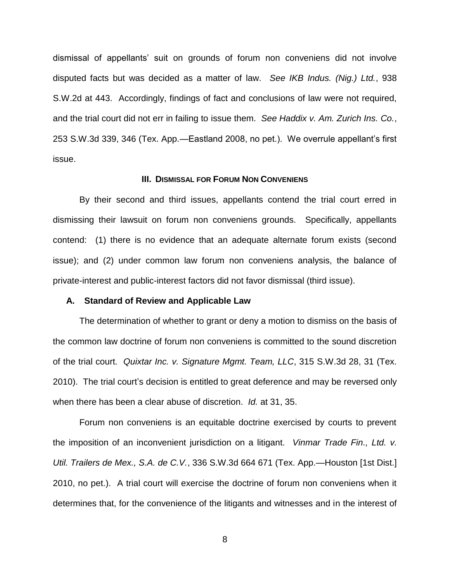dismissal of appellants' suit on grounds of forum non conveniens did not involve disputed facts but was decided as a matter of law. *See IKB Indus. (Nig.) Ltd.*, 938 S.W.2d at 443. Accordingly, findings of fact and conclusions of law were not required, and the trial court did not err in failing to issue them. *See Haddix v. Am. Zurich Ins. Co.*, 253 S.W.3d 339, 346 (Tex. App.—Eastland 2008, no pet.). We overrule appellant's first issue.

#### **III. DISMISSAL FOR FORUM NON CONVENIENS**

By their second and third issues, appellants contend the trial court erred in dismissing their lawsuit on forum non conveniens grounds. Specifically, appellants contend: (1) there is no evidence that an adequate alternate forum exists (second issue); and (2) under common law forum non conveniens analysis, the balance of private-interest and public-interest factors did not favor dismissal (third issue).

#### **A. Standard of Review and Applicable Law**

The determination of whether to grant or deny a motion to dismiss on the basis of the common law doctrine of forum non conveniens is committed to the sound discretion of the trial court. *Quixtar Inc. v. Signature Mgmt. Team, LLC*, 315 S.W.3d 28, 31 (Tex. 2010). The trial court's decision is entitled to great deference and may be reversed only when there has been a clear abuse of discretion. *Id.* at 31, 35.

Forum non conveniens is an equitable doctrine exercised by courts to prevent the imposition of an inconvenient jurisdiction on a litigant. *Vinmar Trade Fin., Ltd. v. Util. Trailers de Mex., S.A. de C.V.*, 336 S.W.3d 664 671 (Tex. App.—Houston [1st Dist.] 2010, no pet.). A trial court will exercise the doctrine of forum non conveniens when it determines that, for the convenience of the litigants and witnesses and in the interest of

8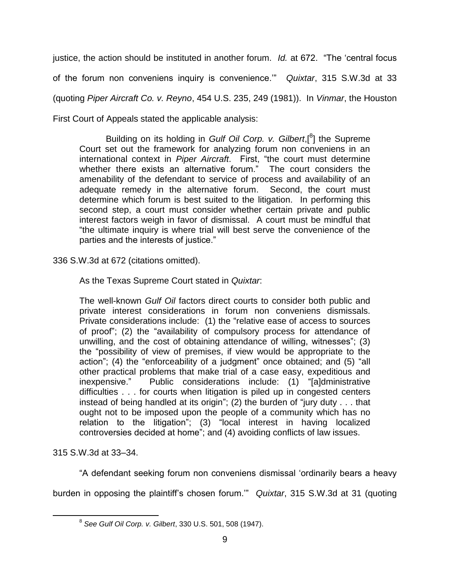justice, the action should be instituted in another forum. *Id.* at 672. "The 'central focus of the forum non conveniens inquiry is convenience.'" *Quixtar*, 315 S.W.3d at 33 (quoting *Piper Aircraft Co. v. Reyno*, 454 U.S. 235, 249 (1981)). In *Vinmar*, the Houston

First Court of Appeals stated the applicable analysis:

Building on its holding in *Gulf Oil Corp. v. Gilbert*,[<sup>8</sup>] the Supreme Court set out the framework for analyzing forum non conveniens in an international context in *Piper Aircraft*. First, "the court must determine whether there exists an alternative forum." The court considers the amenability of the defendant to service of process and availability of an adequate remedy in the alternative forum. Second, the court must determine which forum is best suited to the litigation. In performing this second step, a court must consider whether certain private and public interest factors weigh in favor of dismissal. A court must be mindful that "the ultimate inquiry is where trial will best serve the convenience of the parties and the interests of justice."

336 S.W.3d at 672 (citations omitted).

As the Texas Supreme Court stated in *Quixtar*:

The well-known *Gulf Oil* factors direct courts to consider both public and private interest considerations in forum non conveniens dismissals. Private considerations include: (1) the "relative ease of access to sources of proof"; (2) the "availability of compulsory process for attendance of unwilling, and the cost of obtaining attendance of willing, witnesses"; (3) the "possibility of view of premises, if view would be appropriate to the action"; (4) the "enforceability of a judgment" once obtained; and (5) "all other practical problems that make trial of a case easy, expeditious and inexpensive." Public considerations include: (1) "[a]dministrative difficulties . . . for courts when litigation is piled up in congested centers instead of being handled at its origin"; (2) the burden of "jury duty . . . that ought not to be imposed upon the people of a community which has no relation to the litigation"; (3) "local interest in having localized controversies decided at home"; and (4) avoiding conflicts of law issues.

315 S.W.3d at 33–34.

 $\overline{a}$ 

"A defendant seeking forum non conveniens dismissal 'ordinarily bears a heavy burden in opposing the plaintiff's chosen forum.'" *Quixtar*, 315 S.W.3d at 31 (quoting

<sup>8</sup> *See Gulf Oil Corp. v. Gilbert*, 330 U.S. 501, 508 (1947).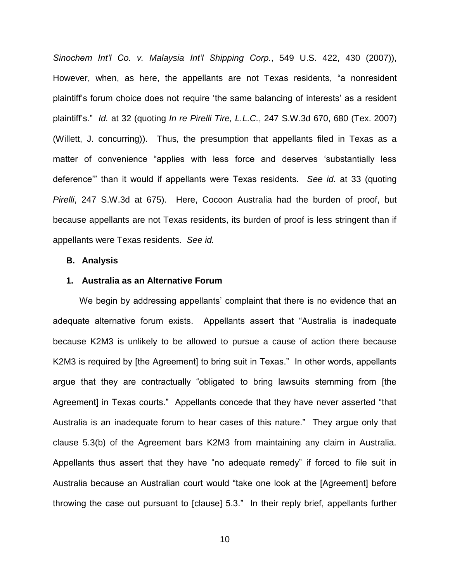*Sinochem Int'l Co. v. Malaysia Int'l Shipping Corp.*, 549 U.S. 422, 430 (2007)), However, when, as here, the appellants are not Texas residents, "a nonresident plaintiff's forum choice does not require 'the same balancing of interests' as a resident plaintiff's." *Id.* at 32 (quoting *In re Pirelli Tire, L.L.C.*, 247 S.W.3d 670, 680 (Tex. 2007) (Willett, J. concurring)). Thus, the presumption that appellants filed in Texas as a matter of convenience "applies with less force and deserves 'substantially less deference'" than it would if appellants were Texas residents. *See id.* at 33 (quoting *Pirelli*, 247 S.W.3d at 675). Here, Cocoon Australia had the burden of proof, but because appellants are not Texas residents, its burden of proof is less stringent than if appellants were Texas residents. *See id.* 

#### **B. Analysis**

### **1. Australia as an Alternative Forum**

We begin by addressing appellants' complaint that there is no evidence that an adequate alternative forum exists. Appellants assert that "Australia is inadequate because K2M3 is unlikely to be allowed to pursue a cause of action there because K2M3 is required by [the Agreement] to bring suit in Texas." In other words, appellants argue that they are contractually "obligated to bring lawsuits stemming from [the Agreement] in Texas courts." Appellants concede that they have never asserted "that Australia is an inadequate forum to hear cases of this nature." They argue only that clause 5.3(b) of the Agreement bars K2M3 from maintaining any claim in Australia. Appellants thus assert that they have "no adequate remedy" if forced to file suit in Australia because an Australian court would "take one look at the [Agreement] before throwing the case out pursuant to [clause] 5.3." In their reply brief, appellants further

10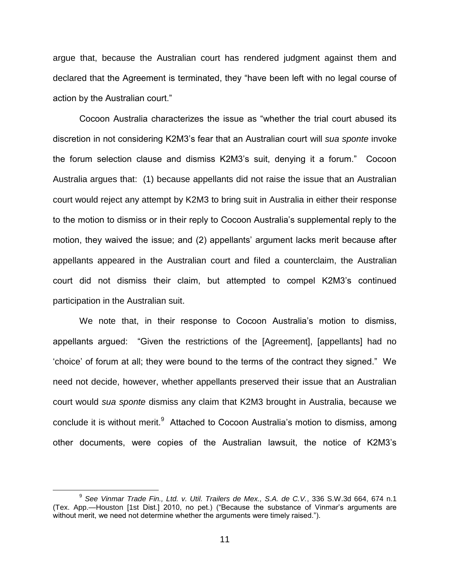argue that, because the Australian court has rendered judgment against them and declared that the Agreement is terminated, they "have been left with no legal course of action by the Australian court."

Cocoon Australia characterizes the issue as "whether the trial court abused its discretion in not considering K2M3's fear that an Australian court will *sua sponte* invoke the forum selection clause and dismiss K2M3's suit, denying it a forum." Cocoon Australia argues that: (1) because appellants did not raise the issue that an Australian court would reject any attempt by K2M3 to bring suit in Australia in either their response to the motion to dismiss or in their reply to Cocoon Australia's supplemental reply to the motion, they waived the issue; and (2) appellants' argument lacks merit because after appellants appeared in the Australian court and filed a counterclaim, the Australian court did not dismiss their claim, but attempted to compel K2M3's continued participation in the Australian suit.

We note that, in their response to Cocoon Australia's motion to dismiss, appellants argued: "Given the restrictions of the [Agreement], [appellants] had no 'choice' of forum at all; they were bound to the terms of the contract they signed." We need not decide, however, whether appellants preserved their issue that an Australian court would *sua sponte* dismiss any claim that K2M3 brought in Australia, because we conclude it is without merit.<sup>9</sup> Attached to Cocoon Australia's motion to dismiss, among other documents, were copies of the Australian lawsuit, the notice of K2M3's

<sup>9</sup> *See Vinmar Trade Fin., Ltd. v. Util. Trailers de Mex., S.A. de C.V.*, 336 S.W.3d 664, 674 n.1 (Tex. App.—Houston [1st Dist.] 2010, no pet.) ("Because the substance of Vinmar's arguments are without merit, we need not determine whether the arguments were timely raised.").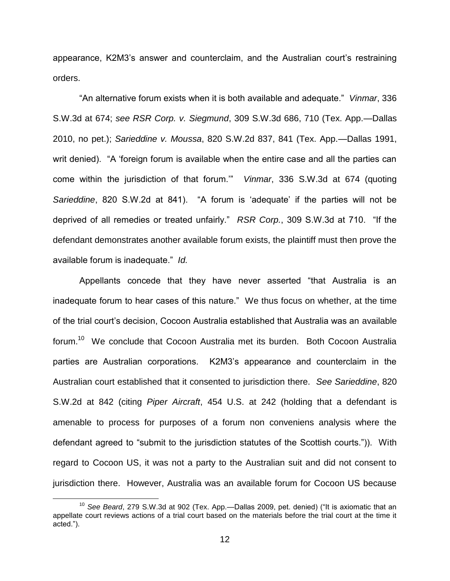appearance, K2M3's answer and counterclaim, and the Australian court's restraining orders.

"An alternative forum exists when it is both available and adequate." *Vinmar*, 336 S.W.3d at 674; *see RSR Corp. v. Siegmund*, 309 S.W.3d 686, 710 (Tex. App.—Dallas 2010, no pet.); *Sarieddine v. Moussa*, 820 S.W.2d 837, 841 (Tex. App.—Dallas 1991, writ denied). "A 'foreign forum is available when the entire case and all the parties can come within the jurisdiction of that forum.'" *Vinmar*, 336 S.W.3d at 674 (quoting *Sarieddine*, 820 S.W.2d at 841). "A forum is 'adequate' if the parties will not be deprived of all remedies or treated unfairly." *RSR Corp.*, 309 S.W.3d at 710. "If the defendant demonstrates another available forum exists, the plaintiff must then prove the available forum is inadequate." *Id.* 

Appellants concede that they have never asserted "that Australia is an inadequate forum to hear cases of this nature." We thus focus on whether, at the time of the trial court's decision, Cocoon Australia established that Australia was an available forum.<sup>10</sup> We conclude that Cocoon Australia met its burden. Both Cocoon Australia parties are Australian corporations. K2M3's appearance and counterclaim in the Australian court established that it consented to jurisdiction there. *See Sarieddine*, 820 S.W.2d at 842 (citing *Piper Aircraft*, 454 U.S. at 242 (holding that a defendant is amenable to process for purposes of a forum non conveniens analysis where the defendant agreed to "submit to the jurisdiction statutes of the Scottish courts.")). With regard to Cocoon US, it was not a party to the Australian suit and did not consent to jurisdiction there. However, Australia was an available forum for Cocoon US because

<sup>&</sup>lt;sup>10</sup> See Beard, 279 S.W.3d at 902 (Tex. App.—Dallas 2009, pet. denied) ("It is axiomatic that an appellate court reviews actions of a trial court based on the materials before the trial court at the time it acted.").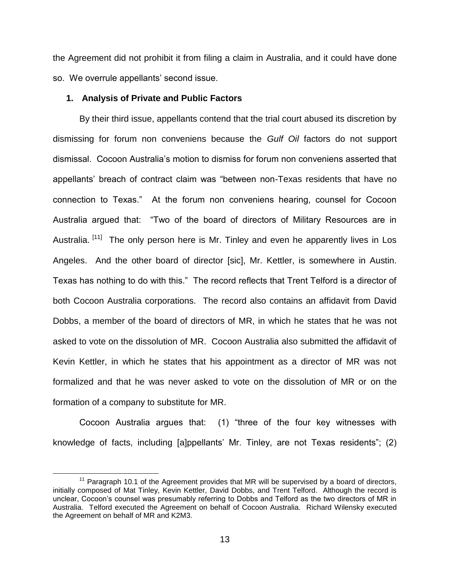the Agreement did not prohibit it from filing a claim in Australia, and it could have done so. We overrule appellants' second issue.

#### **1. Analysis of Private and Public Factors**

 $\overline{a}$ 

By their third issue, appellants contend that the trial court abused its discretion by dismissing for forum non conveniens because the *Gulf Oil* factors do not support dismissal. Cocoon Australia's motion to dismiss for forum non conveniens asserted that appellants' breach of contract claim was "between non-Texas residents that have no connection to Texas." At the forum non conveniens hearing, counsel for Cocoon Australia argued that: "Two of the board of directors of Military Resources are in Australia. <sup>[11]</sup> The only person here is Mr. Tinley and even he apparently lives in Los Angeles. And the other board of director [sic], Mr. Kettler, is somewhere in Austin. Texas has nothing to do with this." The record reflects that Trent Telford is a director of both Cocoon Australia corporations. The record also contains an affidavit from David Dobbs, a member of the board of directors of MR, in which he states that he was not asked to vote on the dissolution of MR. Cocoon Australia also submitted the affidavit of Kevin Kettler, in which he states that his appointment as a director of MR was not formalized and that he was never asked to vote on the dissolution of MR or on the formation of a company to substitute for MR.

Cocoon Australia argues that: (1) "three of the four key witnesses with knowledge of facts, including [a]ppellants' Mr. Tinley, are not Texas residents"; (2)

 $11$  Paragraph 10.1 of the Agreement provides that MR will be supervised by a board of directors, initially composed of Mat Tinley, Kevin Kettler, David Dobbs, and Trent Telford. Although the record is unclear, Cocoon's counsel was presumably referring to Dobbs and Telford as the two directors of MR in Australia. Telford executed the Agreement on behalf of Cocoon Australia. Richard Wilensky executed the Agreement on behalf of MR and K2M3.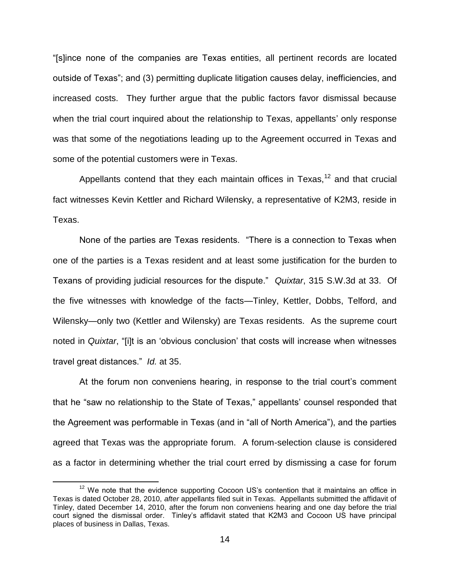"[s]ince none of the companies are Texas entities, all pertinent records are located outside of Texas"; and (3) permitting duplicate litigation causes delay, inefficiencies, and increased costs. They further argue that the public factors favor dismissal because when the trial court inquired about the relationship to Texas, appellants' only response was that some of the negotiations leading up to the Agreement occurred in Texas and some of the potential customers were in Texas.

Appellants contend that they each maintain offices in Texas,  $12$  and that crucial fact witnesses Kevin Kettler and Richard Wilensky, a representative of K2M3, reside in Texas.

None of the parties are Texas residents. "There is a connection to Texas when one of the parties is a Texas resident and at least some justification for the burden to Texans of providing judicial resources for the dispute." *Quixtar*, 315 S.W.3d at 33. Of the five witnesses with knowledge of the facts—Tinley, Kettler, Dobbs, Telford, and Wilensky—only two (Kettler and Wilensky) are Texas residents. As the supreme court noted in *Quixtar*, "[i]t is an 'obvious conclusion' that costs will increase when witnesses travel great distances." *Id.* at 35.

At the forum non conveniens hearing, in response to the trial court's comment that he "saw no relationship to the State of Texas," appellants' counsel responded that the Agreement was performable in Texas (and in "all of North America"), and the parties agreed that Texas was the appropriate forum. A forum-selection clause is considered as a factor in determining whether the trial court erred by dismissing a case for forum

 $12$  We note that the evidence supporting Cocoon US's contention that it maintains an office in Texas is dated October 28, 2010, *after* appellants filed suit in Texas. Appellants submitted the affidavit of Tinley, dated December 14, 2010, after the forum non conveniens hearing and one day before the trial court signed the dismissal order. Tinley's affidavit stated that K2M3 and Cocoon US have principal places of business in Dallas, Texas.